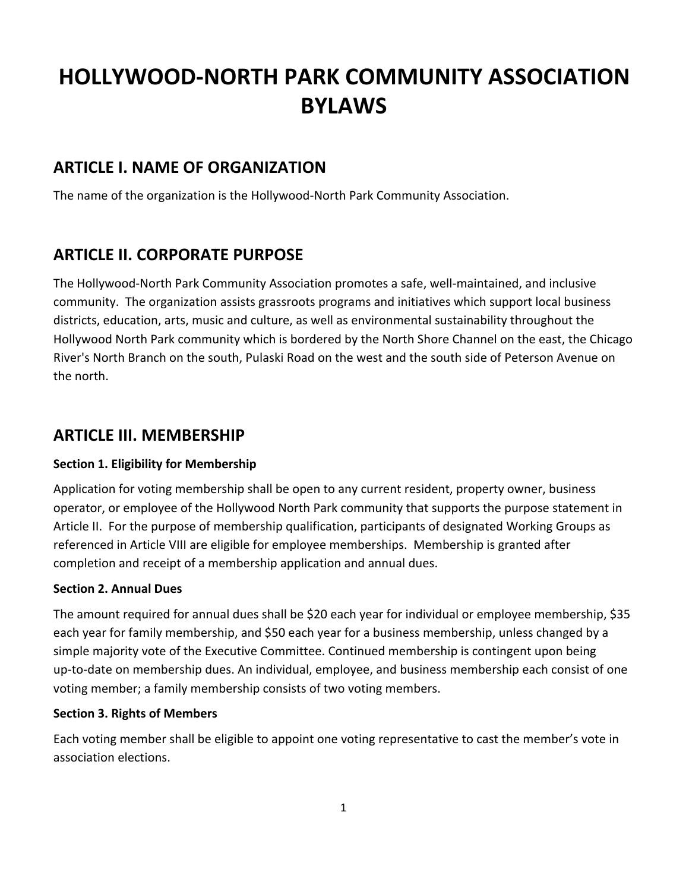# **HOLLYWOOD-NORTH PARK COMMUNITY ASSOCIATION BYLAWS**

### **ARTICLE I. NAME OF ORGANIZATION**

The name of the organization is the Hollywood-North Park Community Association.

# **ARTICLE II. CORPORATE PURPOSE**

The Hollywood-North Park Community Association promotes a safe, well-maintained, and inclusive community. The organization assists grassroots programs and initiatives which support local business districts, education, arts, music and culture, as well as environmental sustainability throughout the Hollywood North Park community which is bordered by the [North Shore Channel](https://en.wikipedia.org/wiki/North_Shore_Channel) on the east, the Chicago River's North Branch on the south, Pulaski Road on the west and the south side of Peterson Avenue on the north.

### **ARTICLE III. MEMBERSHIP**

### **Section 1. Eligibility for Membership**

Application for voting membership shall be open to any current resident, property owner, business operator, or employee of the Hollywood North Park community that supports the purpose statement in Article II. For the purpose of membership qualification, participants of designated Working Groups as referenced in Article VIII are eligible for employee memberships. Membership is granted after completion and receipt of a membership application and annual dues.

### **Section 2. Annual Dues**

The amount required for annual dues shall be \$20 each year for individual or employee membership, \$35 each year for family membership, and \$50 each year for a business membership, unless changed by a simple majority vote of the Executive Committee. Continued membership is contingent upon being up-to-date on membership dues. An individual, employee, and business membership each consist of one voting member; a family membership consists of two voting members.

### **Section 3. Rights of Members**

Each voting member shall be eligible to appoint one voting representative to cast the member's vote in association elections.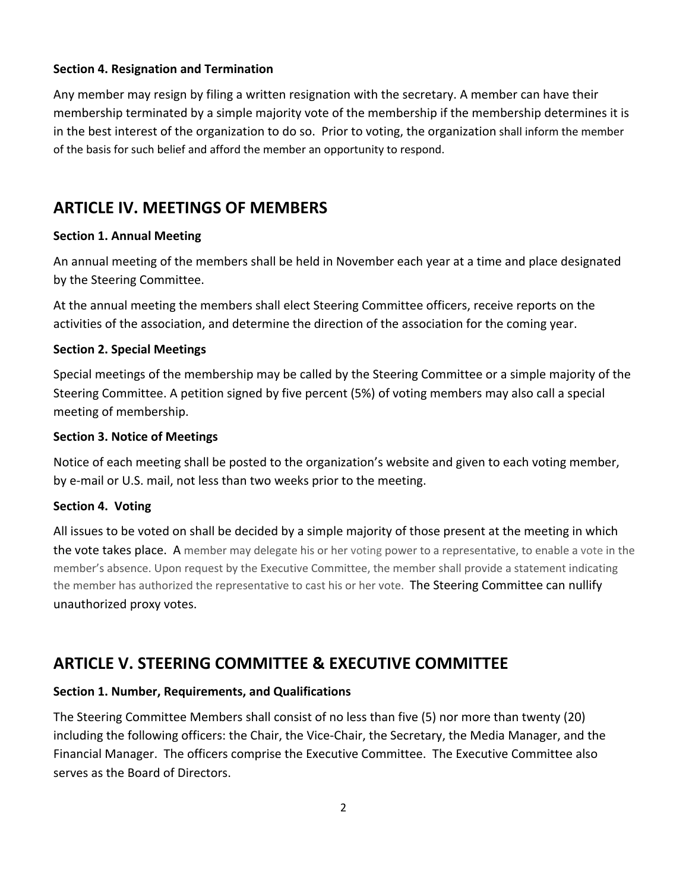### **Section 4. Resignation and Termination**

Any member may resign by filing a written resignation with the secretary. A member can have their membership terminated by a simple majority vote of the membership if the membership determines it is in the best interest of the organization to do so. Prior to voting, the organization shall inform the member of the basis for such belief and afford the member an opportunity to respond.

### **ARTICLE IV. MEETINGS OF MEMBERS**

### **Section 1. Annual Meeting**

An annual meeting of the members shall be held in November each year at a time and place designated by the Steering Committee.

At the annual meeting the members shall elect Steering Committee officers, receive reports on the activities of the association, and determine the direction of the association for the coming year.

### **Section 2. Special Meetings**

Special meetings of the membership may be called by the Steering Committee or a simple majority of the Steering Committee. A petition signed by five percent (5%) of voting members may also call a special meeting of membership.

#### **Section 3. Notice of Meetings**

Notice of each meeting shall be posted to the organization's website and given to each voting member, by e-mail or U.S. mail, not less than two weeks prior to the meeting.

#### **Section 4. Voting**

All issues to be voted on shall be decided by a simple majority of those present at the meeting in which the vote takes place. A member may delegate his or her voting power to a representative, to enable a vote in the member's absence. Upon request by the Executive Committee, the member shall provide a statement indicating the member has authorized the representative to cast his or her vote. The Steering Committee can nullify unauthorized proxy votes.

### **ARTICLE V. STEERING COMMITTEE & EXECUTIVE COMMITTEE**

### **Section 1. Number, Requirements, and Qualifications**

The Steering Committee Members shall consist of no less than five (5) nor more than twenty (20) including the following officers: the Chair, the Vice-Chair, the Secretary, the Media Manager, and the Financial Manager. The officers comprise the Executive Committee. The Executive Committee also serves as the Board of Directors.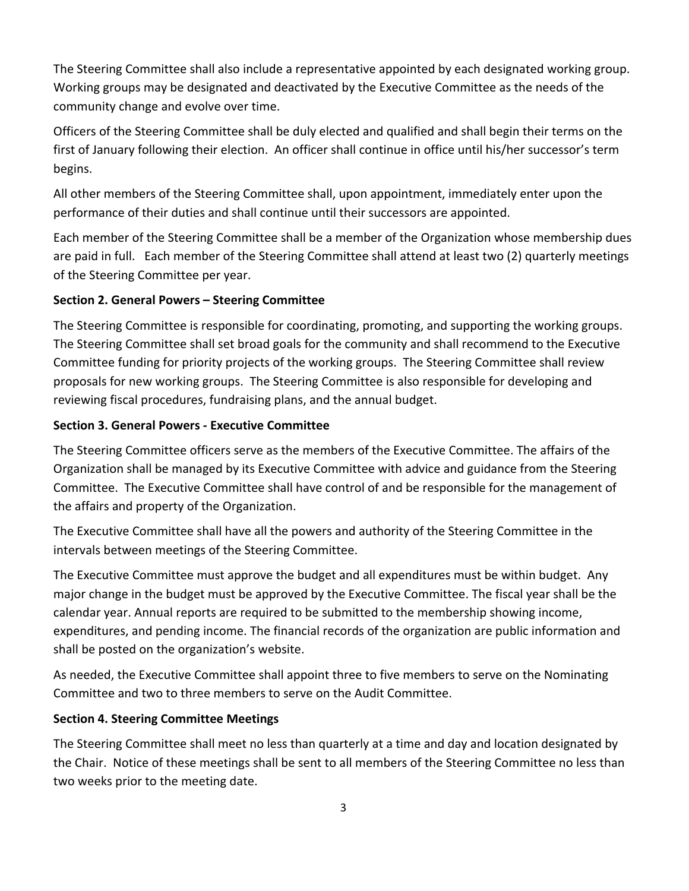The Steering Committee shall also include a representative appointed by each designated working group. Working groups may be designated and deactivated by the Executive Committee as the needs of the community change and evolve over time.

Officers of the Steering Committee shall be duly elected and qualified and shall begin their terms on the first of January following their election. An officer shall continue in office until his/her successor's term begins.

All other members of the Steering Committee shall, upon appointment, immediately enter upon the performance of their duties and shall continue until their successors are appointed.

Each member of the Steering Committee shall be a member of the Organization whose membership dues are paid in full. Each member of the Steering Committee shall attend at least two (2) quarterly meetings of the Steering Committee per year.

### **Section 2. General Powers – Steering Committee**

The Steering Committee is responsible for coordinating, promoting, and supporting the working groups. The Steering Committee shall set broad goals for the community and shall recommend to the Executive Committee funding for priority projects of the working groups. The Steering Committee shall review proposals for new working groups. The Steering Committee is also responsible for developing and reviewing fiscal procedures, fundraising plans, and the annual budget.

### **Section 3. General Powers - Executive Committee**

The Steering Committee officers serve as the members of the Executive Committee. The affairs of the Organization shall be managed by its Executive Committee with advice and guidance from the Steering Committee. The Executive Committee shall have control of and be responsible for the management of the affairs and property of the Organization.

The Executive Committee shall have all the powers and authority of the Steering Committee in the intervals between meetings of the Steering Committee.

The Executive Committee must approve the budget and all expenditures must be within budget. Any major change in the budget must be approved by the Executive Committee. The fiscal year shall be the calendar year. Annual reports are required to be submitted to the membership showing income, expenditures, and pending income. The financial records of the organization are public information and shall be posted on the organization's website.

As needed, the Executive Committee shall appoint three to five members to serve on the Nominating Committee and two to three members to serve on the Audit Committee.

### **Section 4. Steering Committee Meetings**

The Steering Committee shall meet no less than quarterly at a time and day and location designated by the Chair. Notice of these meetings shall be sent to all members of the Steering Committee no less than two weeks prior to the meeting date.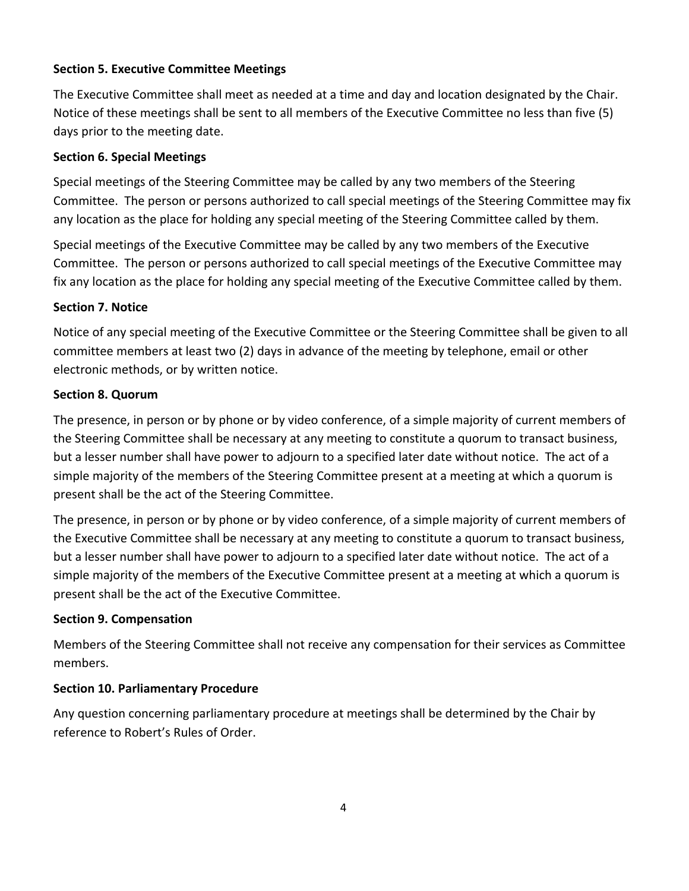### **Section 5. Executive Committee Meetings**

The Executive Committee shall meet as needed at a time and day and location designated by the Chair. Notice of these meetings shall be sent to all members of the Executive Committee no less than five (5) days prior to the meeting date.

### **Section 6. Special Meetings**

Special meetings of the Steering Committee may be called by any two members of the Steering Committee. The person or persons authorized to call special meetings of the Steering Committee may fix any location as the place for holding any special meeting of the Steering Committee called by them.

Special meetings of the Executive Committee may be called by any two members of the Executive Committee. The person or persons authorized to call special meetings of the Executive Committee may fix any location as the place for holding any special meeting of the Executive Committee called by them.

### **Section 7. Notice**

Notice of any special meeting of the Executive Committee or the Steering Committee shall be given to all committee members at least two (2) days in advance of the meeting by telephone, email or other electronic methods, or by written notice.

### **Section 8. Quorum**

The presence, in person or by phone or by video conference, of a simple majority of current members of the Steering Committee shall be necessary at any meeting to constitute a quorum to transact business, but a lesser number shall have power to adjourn to a specified later date without notice. The act of a simple majority of the members of the Steering Committee present at a meeting at which a quorum is present shall be the act of the Steering Committee.

The presence, in person or by phone or by video conference, of a simple majority of current members of the Executive Committee shall be necessary at any meeting to constitute a quorum to transact business, but a lesser number shall have power to adjourn to a specified later date without notice. The act of a simple majority of the members of the Executive Committee present at a meeting at which a quorum is present shall be the act of the Executive Committee.

### **Section 9. Compensation**

Members of the Steering Committee shall not receive any compensation for their services as Committee members.

### **Section 10. Parliamentary Procedure**

Any question concerning parliamentary procedure at meetings shall be determined by the Chair by reference to Robert's Rules of Order.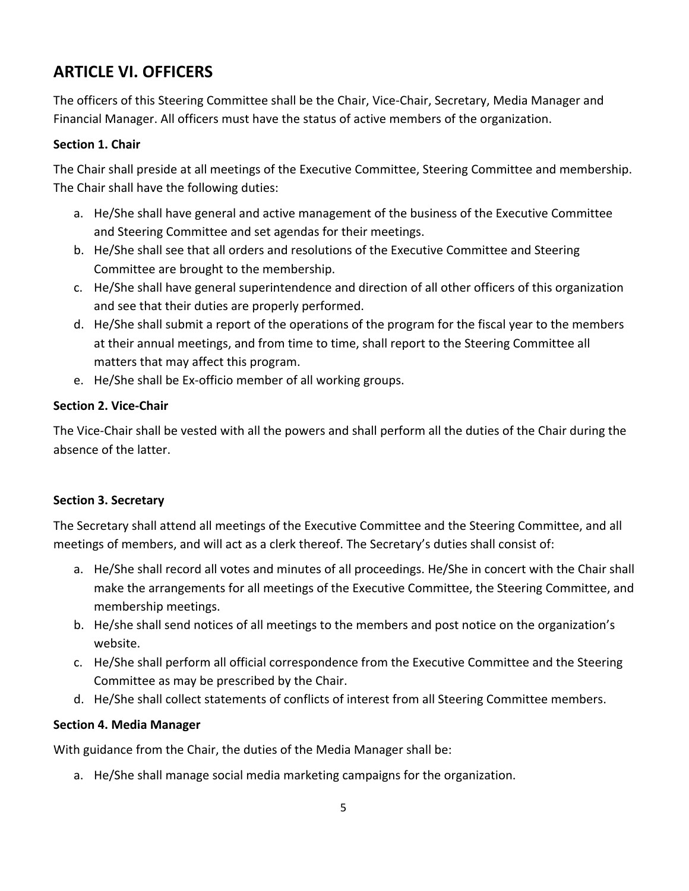# **ARTICLE VI. OFFICERS**

The officers of this Steering Committee shall be the Chair, Vice-Chair, Secretary, Media Manager and Financial Manager. All officers must have the status of active members of the organization.

### **Section 1. Chair**

The Chair shall preside at all meetings of the Executive Committee, Steering Committee and membership. The Chair shall have the following duties:

- a. He/She shall have general and active management of the business of the Executive Committee and Steering Committee and set agendas for their meetings.
- b. He/She shall see that all orders and resolutions of the Executive Committee and Steering Committee are brought to the membership.
- c. He/She shall have general superintendence and direction of all other officers of this organization and see that their duties are properly performed.
- d. He/She shall submit a report of the operations of the program for the fiscal year to the members at their annual meetings, and from time to time, shall report to the Steering Committee all matters that may affect this program.
- e. He/She shall be Ex-officio member of all working groups.

### **Section 2. Vice-Chair**

The Vice-Chair shall be vested with all the powers and shall perform all the duties of the Chair during the absence of the latter.

### **Section 3. Secretary**

The Secretary shall attend all meetings of the Executive Committee and the Steering Committee, and all meetings of members, and will act as a clerk thereof. The Secretary's duties shall consist of:

- a. He/She shall record all votes and minutes of all proceedings. He/She in concert with the Chair shall make the arrangements for all meetings of the Executive Committee, the Steering Committee, and membership meetings.
- b. He/she shall send notices of all meetings to the members and post notice on the organization's website.
- c. He/She shall perform all official correspondence from the Executive Committee and the Steering Committee as may be prescribed by the Chair.
- d. He/She shall collect statements of conflicts of interest from all Steering Committee members.

### **Section 4. Media Manager**

With guidance from the Chair, the duties of the Media Manager shall be:

a. He/She shall manage social media marketing campaigns for the organization.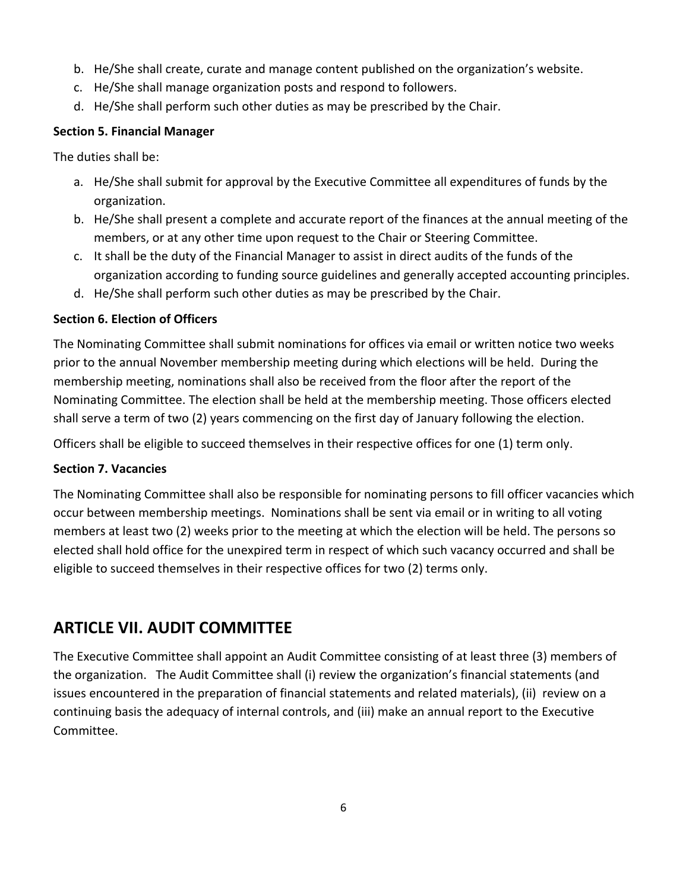- b. He/She shall create, curate and manage content published on the organization's website.
- c. He/She shall manage organization posts and respond to followers.
- d. He/She shall perform such other duties as may be prescribed by the Chair.

### **Section 5. Financial Manager**

The duties shall be:

- a. He/She shall submit for approval by the Executive Committee all expenditures of funds by the organization.
- b. He/She shall present a complete and accurate report of the finances at the annual meeting of the members, or at any other time upon request to the Chair or Steering Committee.
- c. It shall be the duty of the Financial Manager to assist in direct audits of the funds of the organization according to funding source guidelines and generally accepted accounting principles.
- d. He/She shall perform such other duties as may be prescribed by the Chair.

### **Section 6. Election of Officers**

The Nominating Committee shall submit nominations for offices via email or written notice two weeks prior to the annual November membership meeting during which elections will be held. During the membership meeting, nominations shall also be received from the floor after the report of the Nominating Committee. The election shall be held at the membership meeting. Those officers elected shall serve a term of two (2) years commencing on the first day of January following the election.

Officers shall be eligible to succeed themselves in their respective offices for one (1) term only.

### **Section 7. Vacancies**

The Nominating Committee shall also be responsible for nominating persons to fill officer vacancies which occur between membership meetings. Nominations shall be sent via email or in writing to all voting members at least two (2) weeks prior to the meeting at which the election will be held. The persons so elected shall hold office for the unexpired term in respect of which such vacancy occurred and shall be eligible to succeed themselves in their respective offices for two (2) terms only.

### **ARTICLE VII. AUDIT COMMITTEE**

The Executive Committee shall appoint an Audit Committee consisting of at least three (3) members of the organization. The Audit Committee shall (i) review the organization's financial statements (and issues encountered in the preparation of financial statements and related materials), (ii) review on a continuing basis the adequacy of internal controls, and (iii) make an annual report to the Executive Committee.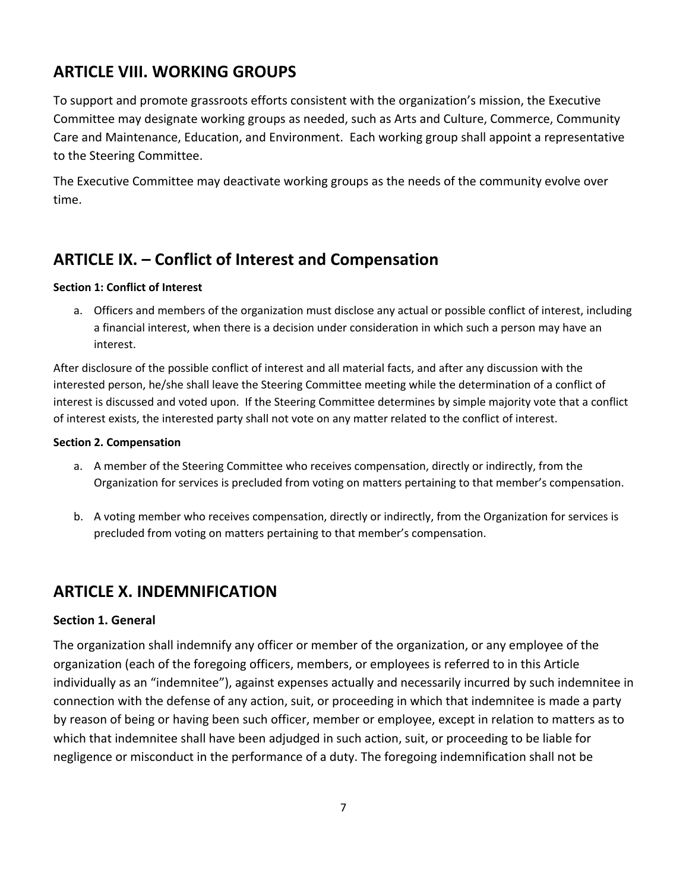# **ARTICLE VIII. WORKING GROUPS**

To support and promote grassroots efforts consistent with the organization's mission, the Executive Committee may designate working groups as needed, such as Arts and Culture, Commerce, Community Care and Maintenance, Education, and Environment. Each working group shall appoint a representative to the Steering Committee.

The Executive Committee may deactivate working groups as the needs of the community evolve over time.

# **ARTICLE IX. – Conflict of Interest and Compensation**

#### **Section 1: Conflict of Interest**

a. Officers and members of the organization must disclose any actual or possible conflict of interest, including a financial interest, when there is a decision under consideration in which such a person may have an interest.

After disclosure of the possible conflict of interest and all material facts, and after any discussion with the interested person, he/she shall leave the Steering Committee meeting while the determination of a conflict of interest is discussed and voted upon. If the Steering Committee determines by simple majority vote that a conflict of interest exists, the interested party shall not vote on any matter related to the conflict of interest.

#### **Section 2. Compensation**

- a. A member of the Steering Committee who receives compensation, directly or indirectly, from the Organization for services is precluded from voting on matters pertaining to that member's compensation.
- b. A voting member who receives compensation, directly or indirectly, from the Organization for services is precluded from voting on matters pertaining to that member's compensation.

### **ARTICLE X. INDEMNIFICATION**

### **Section 1. General**

The organization shall indemnify any officer or member of the organization, or any employee of the organization (each of the foregoing officers, members, or employees is referred to in this Article individually as an "indemnitee"), against expenses actually and necessarily incurred by such indemnitee in connection with the defense of any action, suit, or proceeding in which that indemnitee is made a party by reason of being or having been such officer, member or employee, except in relation to matters as to which that indemnitee shall have been adjudged in such action, suit, or proceeding to be liable for negligence or misconduct in the performance of a duty. The foregoing indemnification shall not be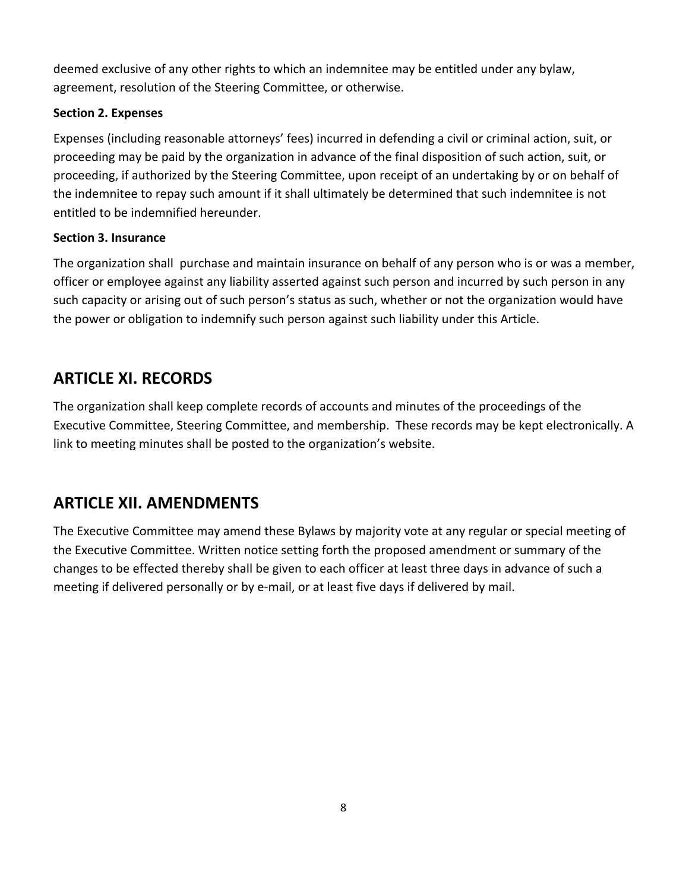deemed exclusive of any other rights to which an indemnitee may be entitled under any bylaw, agreement, resolution of the Steering Committee, or otherwise.

### **Section 2. Expenses**

Expenses (including reasonable attorneys' fees) incurred in defending a civil or criminal action, suit, or proceeding may be paid by the organization in advance of the final disposition of such action, suit, or proceeding, if authorized by the Steering Committee, upon receipt of an undertaking by or on behalf of the indemnitee to repay such amount if it shall ultimately be determined that such indemnitee is not entitled to be indemnified hereunder.

### **Section 3. Insurance**

The organization shall purchase and maintain insurance on behalf of any person who is or was a member, officer or employee against any liability asserted against such person and incurred by such person in any such capacity or arising out of such person's status as such, whether or not the organization would have the power or obligation to indemnify such person against such liability under this Article.

# **ARTICLE XI. RECORDS**

The organization shall keep complete records of accounts and minutes of the proceedings of the Executive Committee, Steering Committee, and membership. These records may be kept electronically. A link to meeting minutes shall be posted to the organization's website.

# **ARTICLE XII. AMENDMENTS**

The Executive Committee may amend these Bylaws by majority vote at any regular or special meeting of the Executive Committee. Written notice setting forth the proposed amendment or summary of the changes to be effected thereby shall be given to each officer at least three days in advance of such a meeting if delivered personally or by e-mail, or at least five days if delivered by mail.